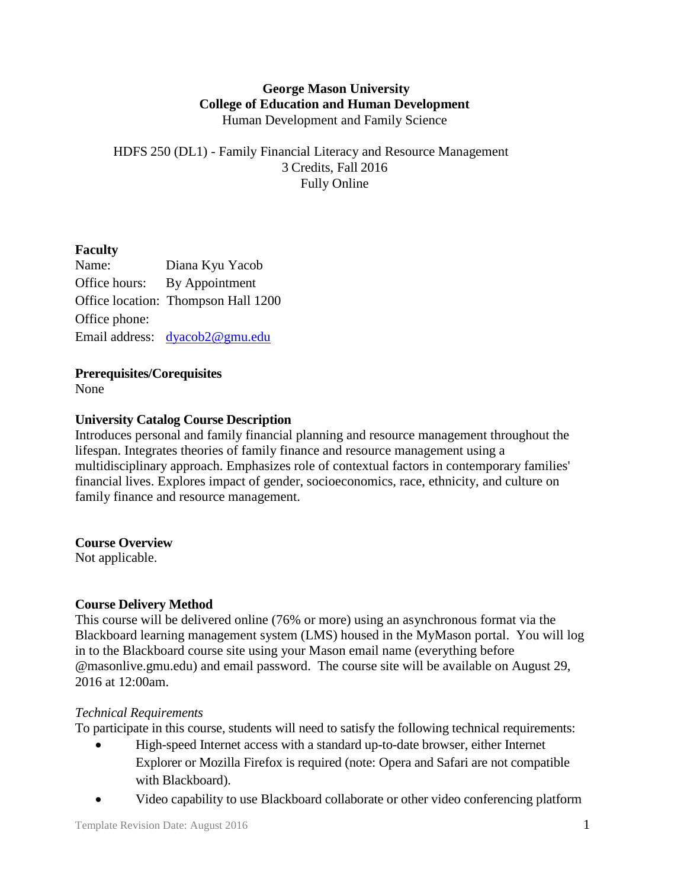## **George Mason University College of Education and Human Development** Human Development and Family Science

# HDFS 250 (DL1) - Family Financial Literacy and Resource Management 3 Credits, Fall 2016 Fully Online

# **Faculty**

Name: Diana Kyu Yacob Office hours: By Appointment Office location: Thompson Hall 1200 Office phone: Email address: [dyacob2@gmu.edu](mailto:dyacob2@gmu.edu)

# **Prerequisites/Corequisites**

None

# **University Catalog Course Description**

Introduces personal and family financial planning and resource management throughout the lifespan. Integrates theories of family finance and resource management using a multidisciplinary approach. Emphasizes role of contextual factors in contemporary families' financial lives. Explores impact of gender, socioeconomics, race, ethnicity, and culture on family finance and resource management.

#### **Course Overview**

Not applicable.

# **Course Delivery Method**

This course will be delivered online (76% or more) using an asynchronous format via the Blackboard learning management system (LMS) housed in the MyMason portal. You will log in to the Blackboard course site using your Mason email name (everything before @masonlive.gmu.edu) and email password. The course site will be available on August 29, 2016 at 12:00am.

#### *Technical Requirements*

To participate in this course, students will need to satisfy the following technical requirements:

- High-speed Internet access with a standard up-to-date browser, either Internet Explorer or Mozilla Firefox is required (note: Opera and Safari are not compatible with Blackboard).
- Video capability to use Blackboard collaborate or other video conferencing platform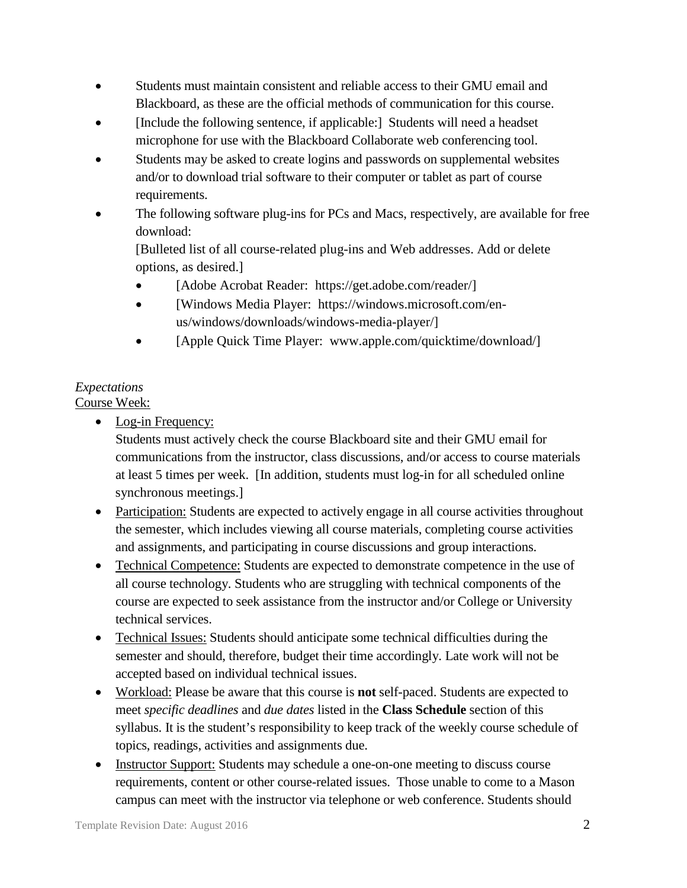- Students must maintain consistent and reliable access to their GMU email and Blackboard, as these are the official methods of communication for this course.
- [Include the following sentence, if applicable:] Students will need a headset microphone for use with the Blackboard Collaborate web conferencing tool.
- Students may be asked to create logins and passwords on supplemental websites and/or to download trial software to their computer or tablet as part of course requirements.
- The following software plug-ins for PCs and Macs, respectively, are available for free download:

[Bulleted list of all course-related plug-ins and Web addresses. Add or delete options, as desired.]

- [Adobe Acrobat Reader: https://get.adobe.com/reader/]
- [Windows Media Player: https://windows.microsoft.com/enus/windows/downloads/windows-media-player/]
- [Apple Quick Time Player: www.apple.com/quicktime/download/]

# *Expectations*

Course Week:

• Log-in Frequency:

Students must actively check the course Blackboard site and their GMU email for communications from the instructor, class discussions, and/or access to course materials at least 5 times per week. [In addition, students must log-in for all scheduled online synchronous meetings.]

- Participation: Students are expected to actively engage in all course activities throughout the semester, which includes viewing all course materials, completing course activities and assignments, and participating in course discussions and group interactions.
- Technical Competence: Students are expected to demonstrate competence in the use of all course technology. Students who are struggling with technical components of the course are expected to seek assistance from the instructor and/or College or University technical services.
- Technical Issues: Students should anticipate some technical difficulties during the semester and should, therefore, budget their time accordingly. Late work will not be accepted based on individual technical issues.
- Workload: Please be aware that this course is **not** self-paced. Students are expected to meet *specific deadlines* and *due dates* listed in the **Class Schedule** section of this syllabus. It is the student's responsibility to keep track of the weekly course schedule of topics, readings, activities and assignments due.
- Instructor Support: Students may schedule a one-on-one meeting to discuss course requirements, content or other course-related issues. Those unable to come to a Mason campus can meet with the instructor via telephone or web conference. Students should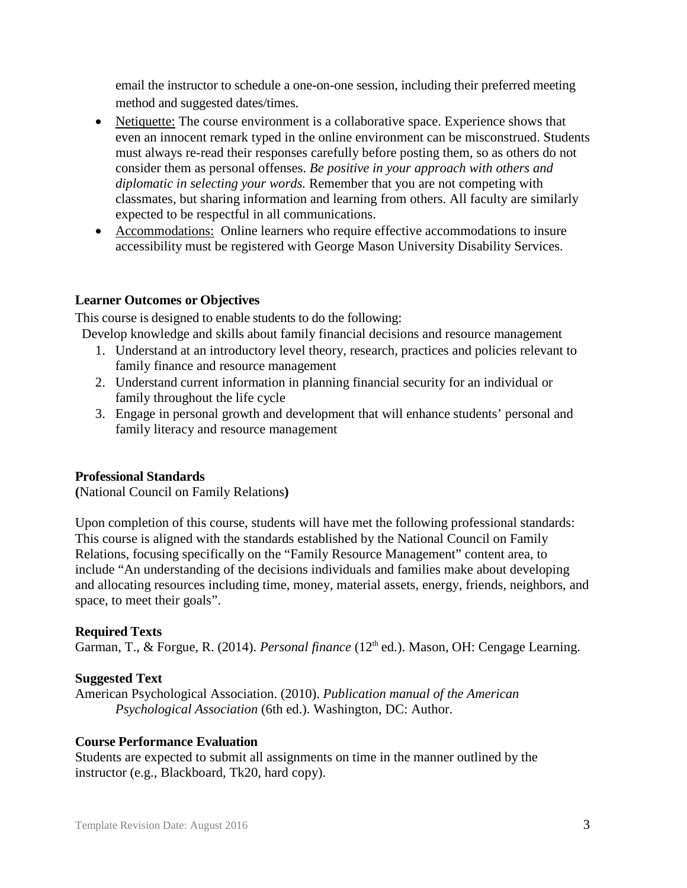email the instructor to schedule a one-on-one session, including their preferred meeting method and suggested dates/times.

- Netiquette: The course environment is a collaborative space. Experience shows that even an innocent remark typed in the online environment can be misconstrued. Students must always re-read their responses carefully before posting them, so as others do not consider them as personal offenses. *Be positive in your approach with others and diplomatic in selecting your words.* Remember that you are not competing with classmates, but sharing information and learning from others. All faculty are similarly expected to be respectful in all communications.
- Accommodations: Online learners who require effective accommodations to insure accessibility must be registered with George Mason University Disability Services.

#### **Learner Outcomes or Objectives**

This course is designed to enable students to do the following:

Develop knowledge and skills about family financial decisions and resource management

- 1. Understand at an introductory level theory, research, practices and policies relevant to family finance and resource management
- 2. Understand current information in planning financial security for an individual or family throughout the life cycle
- 3. Engage in personal growth and development that will enhance students' personal and family literacy and resource management

#### **Professional Standards**

**(**National Council on Family Relations**)**

Upon completion of this course, students will have met the following professional standards: This course is aligned with the standards established by the National Council on Family Relations, focusing specifically on the "Family Resource Management" content area, to include "An understanding of the decisions individuals and families make about developing and allocating resources including time, money, material assets, energy, friends, neighbors, and space, to meet their goals".

#### **Required Texts**

Garman, T., & Forgue, R. (2014). *Personal finance* (12<sup>th</sup> ed.). Mason, OH: Cengage Learning.

#### **Suggested Text**

American Psychological Association. (2010). *Publication manual of the American Psychological Association* (6th ed.). Washington, DC: Author.

#### **Course Performance Evaluation**

Students are expected to submit all assignments on time in the manner outlined by the instructor (e.g., Blackboard, Tk20, hard copy).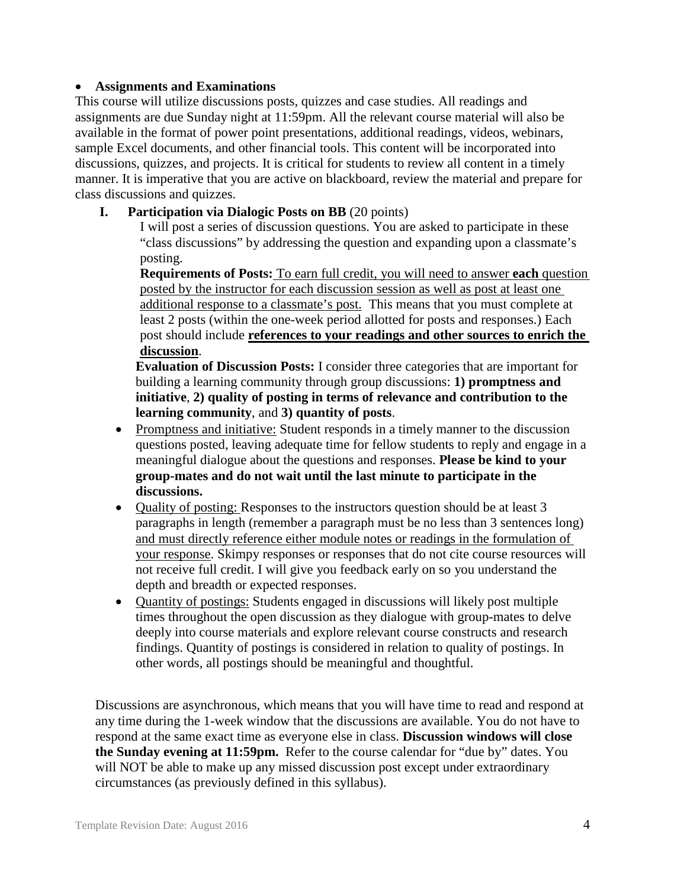#### • **Assignments and Examinations**

This course will utilize discussions posts, quizzes and case studies. All readings and assignments are due Sunday night at 11:59pm. All the relevant course material will also be available in the format of power point presentations, additional readings, videos, webinars, sample Excel documents, and other financial tools. This content will be incorporated into discussions, quizzes, and projects. It is critical for students to review all content in a timely manner. It is imperative that you are active on blackboard, review the material and prepare for class discussions and quizzes.

# **I. Participation via Dialogic Posts on BB** (20 points)

I will post a series of discussion questions. You are asked to participate in these "class discussions" by addressing the question and expanding upon a classmate's posting.

**Requirements of Posts:** To earn full credit, you will need to answer **each** question posted by the instructor for each discussion session as well as post at least one additional response to a classmate's post. This means that you must complete at least 2 posts (within the one-week period allotted for posts and responses.) Each post should include **references to your readings and other sources to enrich the discussion**.

**Evaluation of Discussion Posts:** I consider three categories that are important for building a learning community through group discussions: **1) promptness and initiative**, **2) quality of posting in terms of relevance and contribution to the learning community**, and **3) quantity of posts**.

- Promptness and initiative: Student responds in a timely manner to the discussion questions posted, leaving adequate time for fellow students to reply and engage in a meaningful dialogue about the questions and responses. **Please be kind to your group-mates and do not wait until the last minute to participate in the discussions.**
- Quality of posting: Responses to the instructors question should be at least 3 paragraphs in length (remember a paragraph must be no less than 3 sentences long) and must directly reference either module notes or readings in the formulation of your response. Skimpy responses or responses that do not cite course resources will not receive full credit. I will give you feedback early on so you understand the depth and breadth or expected responses.
- Quantity of postings: Students engaged in discussions will likely post multiple times throughout the open discussion as they dialogue with group-mates to delve deeply into course materials and explore relevant course constructs and research findings. Quantity of postings is considered in relation to quality of postings. In other words, all postings should be meaningful and thoughtful.

Discussions are asynchronous, which means that you will have time to read and respond at any time during the 1-week window that the discussions are available. You do not have to respond at the same exact time as everyone else in class. **Discussion windows will close the Sunday evening at 11:59pm.** Refer to the course calendar for "due by" dates. You will NOT be able to make up any missed discussion post except under extraordinary circumstances (as previously defined in this syllabus).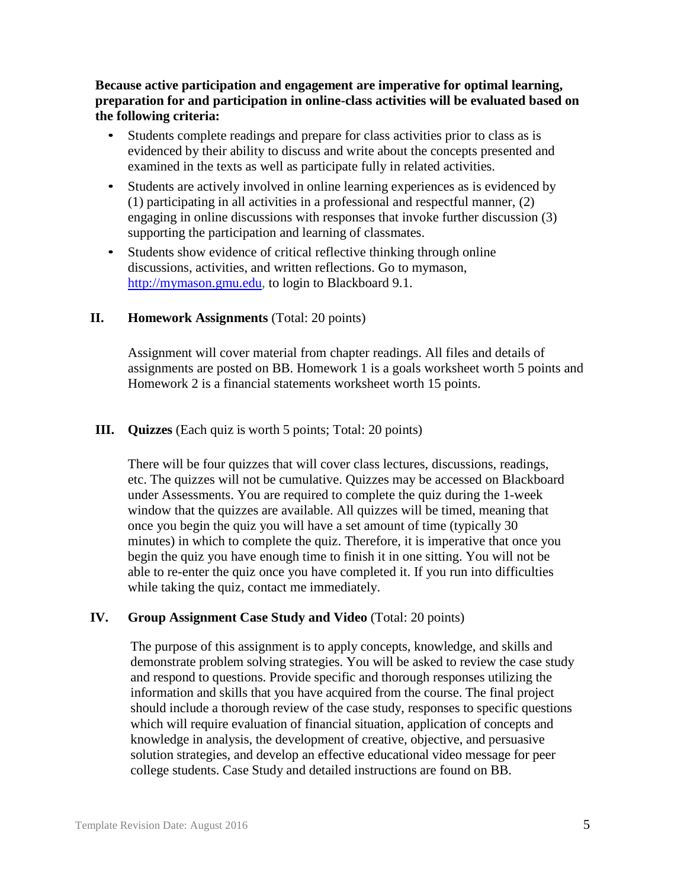**Because active participation and engagement are imperative for optimal learning, preparation for and participation in online-class activities will be evaluated based on the following criteria:**

- Students complete readings and prepare for class activities prior to class as is evidenced by their ability to discuss and write about the concepts presented and examined in the texts as well as participate fully in related activities.
- Students are actively involved in online learning experiences as is evidenced by (1) participating in all activities in a professional and respectful manner, (2) engaging in online discussions with responses that invoke further discussion (3) supporting the participation and learning of classmates.
- Students show evidence of critical reflective thinking through online discussions, activities, and written reflections. Go to mymason, [http://mymason.gmu.edu, t](http://mymason.gmu.edu/)o login to Blackboard 9.1.

#### **II. Homework Assignments** (Total: 20 points)

Assignment will cover material from chapter readings. All files and details of assignments are posted on BB. Homework 1 is a goals worksheet worth 5 points and Homework 2 is a financial statements worksheet worth 15 points.

#### **III. Quizzes** (Each quiz is worth 5 points; Total: 20 points)

There will be four quizzes that will cover class lectures, discussions, readings, etc. The quizzes will not be cumulative. Quizzes may be accessed on Blackboard under Assessments. You are required to complete the quiz during the 1-week window that the quizzes are available. All quizzes will be timed, meaning that once you begin the quiz you will have a set amount of time (typically 30 minutes) in which to complete the quiz. Therefore, it is imperative that once you begin the quiz you have enough time to finish it in one sitting. You will not be able to re-enter the quiz once you have completed it. If you run into difficulties while taking the quiz, contact me immediately.

#### **IV. Group Assignment Case Study and Video** (Total: 20 points)

The purpose of this assignment is to apply concepts, knowledge, and skills and demonstrate problem solving strategies. You will be asked to review the case study and respond to questions. Provide specific and thorough responses utilizing the information and skills that you have acquired from the course. The final project should include a thorough review of the case study, responses to specific questions which will require evaluation of financial situation, application of concepts and knowledge in analysis, the development of creative, objective, and persuasive solution strategies, and develop an effective educational video message for peer college students. Case Study and detailed instructions are found on BB.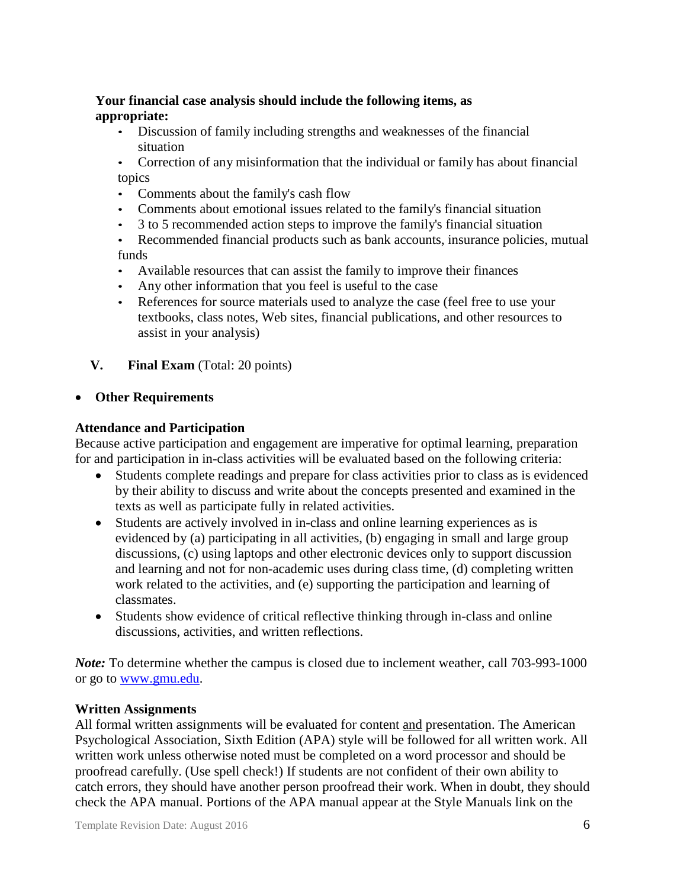# **Your financial case analysis should include the following items, as appropriate:**

- Discussion of family including strengths and weaknesses of the financial situation
- Correction of any misinformation that the individual or family has about financial topics
- Comments about the family's cash flow
- Comments about emotional issues related to the family's financial situation
- 3 to 5 recommended action steps to improve the family's financial situation
- Recommended financial products such as bank accounts, insurance policies, mutual funds
- Available resources that can assist the family to improve their finances
- Any other information that you feel is useful to the case
- References for source materials used to analyze the case (feel free to use your textbooks, class notes, Web sites, financial publications, and other resources to assist in your analysis)
- **V. Final Exam** (Total: 20 points)

# • **Other Requirements**

# **Attendance and Participation**

Because active participation and engagement are imperative for optimal learning, preparation for and participation in in-class activities will be evaluated based on the following criteria:

- Students complete readings and prepare for class activities prior to class as is evidenced by their ability to discuss and write about the concepts presented and examined in the texts as well as participate fully in related activities.
- Students are actively involved in in-class and online learning experiences as is evidenced by (a) participating in all activities, (b) engaging in small and large group discussions, (c) using laptops and other electronic devices only to support discussion and learning and not for non-academic uses during class time, (d) completing written work related to the activities, and (e) supporting the participation and learning of classmates.
- Students show evidence of critical reflective thinking through in-class and online discussions, activities, and written reflections.

*Note:* To determine whether the campus is closed due to inclement weather, call 703-993-1000 or go to [www.gmu.edu.](http://www.gmu.edu/)

# **Written Assignments**

All formal written assignments will be evaluated for content and presentation. The American Psychological Association, Sixth Edition (APA) style will be followed for all written work. All written work unless otherwise noted must be completed on a word processor and should be proofread carefully. (Use spell check!) If students are not confident of their own ability to catch errors, they should have another person proofread their work. When in doubt, they should check the APA manual. Portions of the APA manual appear at the Style Manuals link on the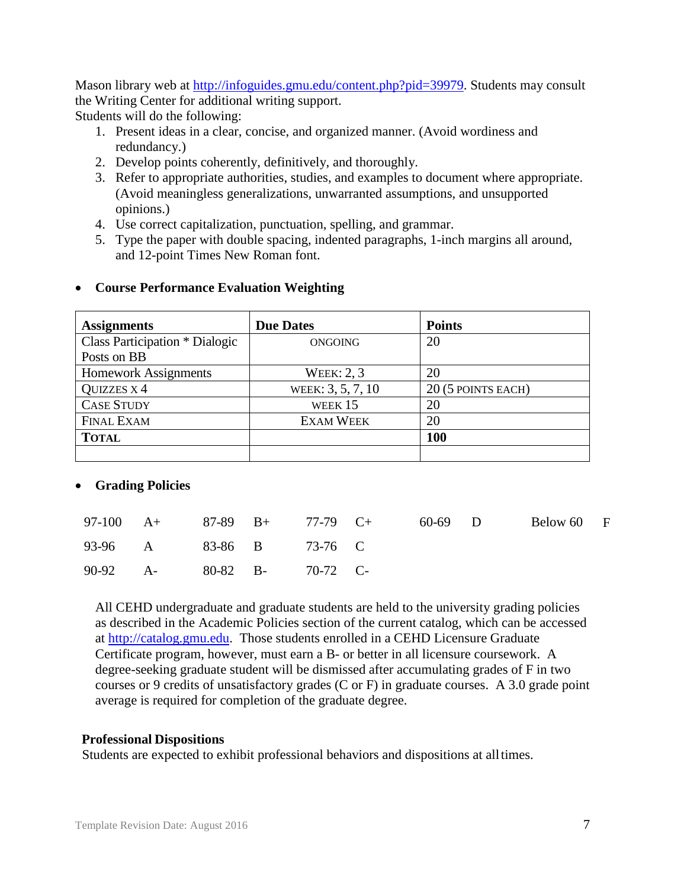Mason library web at [http://infoguides.gmu.edu/content.php?pid=39979.](http://infoguides.gmu.edu/content.php?pid=39979) Students may consult the Writing Center for additional writing support. Students will do the following:

- 1. Present ideas in a clear, concise, and organized manner. (Avoid wordiness and redundancy.)
- 2. Develop points coherently, definitively, and thoroughly.
- 3. Refer to appropriate authorities, studies, and examples to document where appropriate. (Avoid meaningless generalizations, unwarranted assumptions, and unsupported opinions.)
- 4. Use correct capitalization, punctuation, spelling, and grammar.
- 5. Type the paper with double spacing, indented paragraphs, 1-inch margins all around, and 12-point Times New Roman font.

| <b>Assignments</b>                    | <b>Due Dates</b>  | <b>Points</b>      |
|---------------------------------------|-------------------|--------------------|
| <b>Class Participation * Dialogic</b> | <b>ONGOING</b>    | 20                 |
| Posts on BB                           |                   |                    |
| <b>Homework Assignments</b>           | <b>WEEK: 2, 3</b> | 20                 |
| <b>QUIZZES X 4</b>                    | WEEK: 3, 5, 7, 10 | 20 (5 POINTS EACH) |
| <b>CASE STUDY</b>                     | WEEK 15           | 20                 |
| <b>FINAL EXAM</b>                     | <b>EXAM WEEK</b>  | 20                 |
| <b>TOTAL</b>                          |                   | 100                |
|                                       |                   |                    |

# • **Course Performance Evaluation Weighting**

# • **Grading Policies**

|                            |  | 97-100 A+ 87-89 B+ 77-79 C+ 60-69 D |  | Below 60 F |  |
|----------------------------|--|-------------------------------------|--|------------|--|
| 93-96 A 83-86 B 73-76 C    |  |                                     |  |            |  |
| 90-92 A- 80-82 B- 70-72 C- |  |                                     |  |            |  |

All CEHD undergraduate and graduate students are held to the university grading policies as described in the Academic Policies section of the current catalog, which can be accessed at [http://catalog.gmu.edu.](http://catalog.gmu.edu/) Those students enrolled in a CEHD Licensure Graduate Certificate program, however, must earn a B- or better in all licensure coursework. A degree-seeking graduate student will be dismissed after accumulating grades of F in two courses or 9 credits of unsatisfactory grades (C or F) in graduate courses. A 3.0 grade point average is required for completion of the graduate degree.

#### **Professional Dispositions**

Students are expected to exhibit professional behaviors and dispositions at alltimes.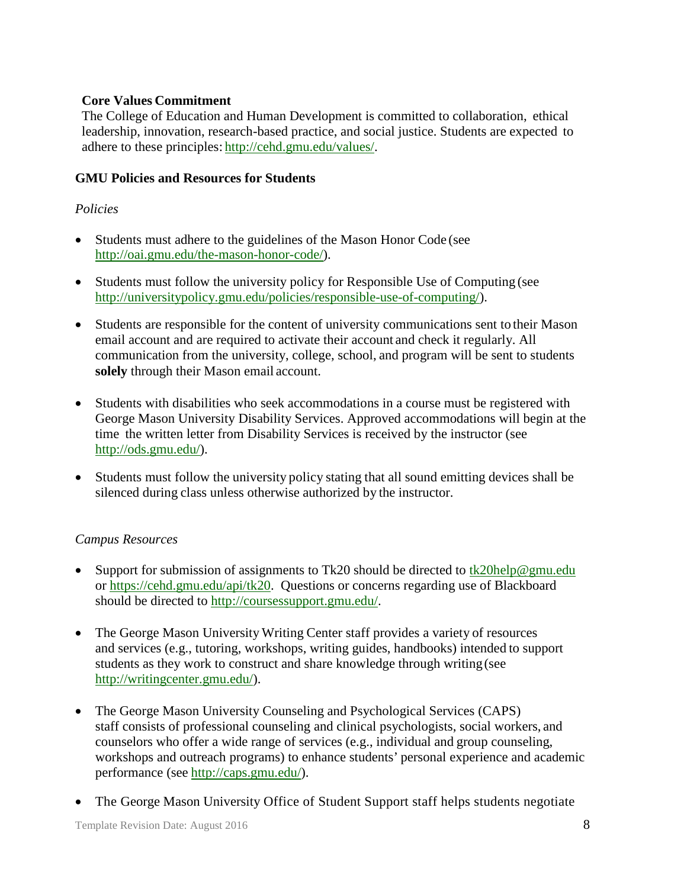# **Core Values Commitment**

The College of Education and Human Development is committed to collaboration, ethical leadership, innovation, research-based practice, and social justice. Students are expected to adhere to these principles: [http://cehd.gmu.edu/values/.](http://cehd.gmu.edu/values/)

# **GMU Policies and Resources for Students**

# *Policies*

- Students must adhere to the guidelines of the Mason Honor Code (see [http://oai.gmu.edu/the-mason-honor-code/\)](http://oai.gmu.edu/the-mason-honor-code/).
- Students must follow the university policy for Responsible Use of Computing (see [http://universitypolicy.gmu.edu/policies/responsible-use-of-computing/\)](http://universitypolicy.gmu.edu/policies/responsible-use-of-computing/).
- Students are responsible for the content of university communications sent to their Mason email account and are required to activate their account and check it regularly. All communication from the university, college, school, and program will be sent to students **solely** through their Mason email account.
- Students with disabilities who seek accommodations in a course must be registered with George Mason University Disability Services. Approved accommodations will begin at the time the written letter from Disability Services is received by the instructor (see [http://ods.gmu.edu/\)](http://ods.gmu.edu/).
- Students must follow the university policy stating that all sound emitting devices shall be silenced during class unless otherwise authorized by the instructor.

# *Campus Resources*

- Support for submission of assignments to Tk20 should be directed to tk20help@gmu.edu or [https://cehd.gmu.edu/api/tk20.](https://cehd.gmu.edu/api/tk20) Questions or concerns regarding use of Blackboard should be directed to [http://coursessupport.gmu.edu/.](http://coursessupport.gmu.edu/)
- The George Mason University Writing Center staff provides a variety of resources and services (e.g., tutoring, workshops, writing guides, handbooks) intended to support students as they work to construct and share knowledge through writing(see [http://writingcenter.gmu.edu/\)](http://writingcenter.gmu.edu/).
- The George Mason University Counseling and Psychological Services (CAPS) staff consists of professional counseling and clinical psychologists, social workers, and counselors who offer a wide range of services (e.g., individual and group counseling, workshops and outreach programs) to enhance students' personal experience and academic performance (see [http://caps.gmu.edu/\)](http://caps.gmu.edu/).
- The George Mason University Office of Student Support staff helps students negotiate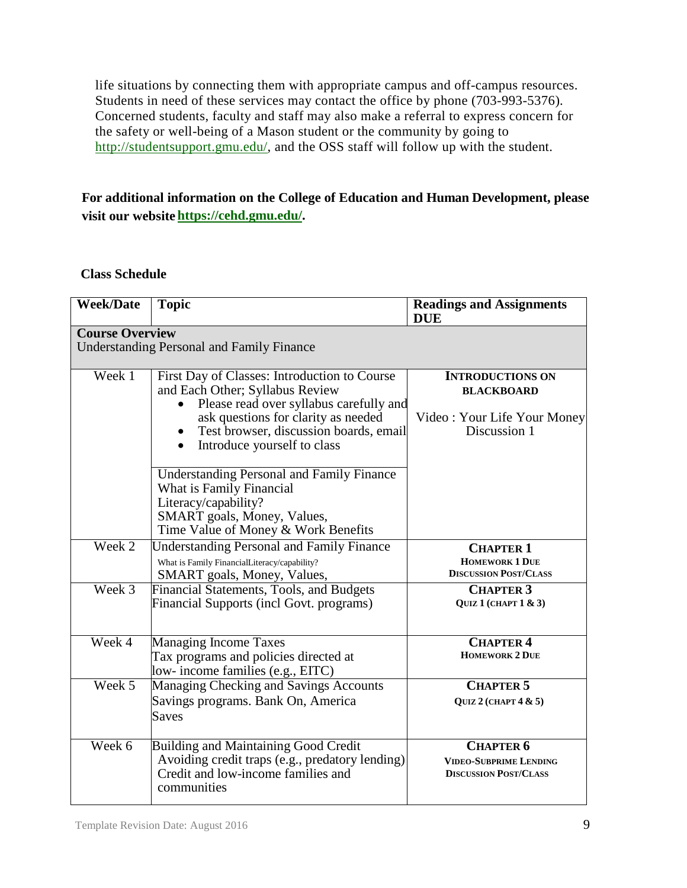life situations by connecting them with appropriate campus and off-campus resources. Students in need of these services may contact the office by phone (703-993-5376). Concerned students, faculty and staff may also make a referral to express concern for the safety or well-being of a Mason student or the community by going to [http://studentsupport.gmu.edu/,](http://studentsupport.gmu.edu/) and the OSS staff will follow up with the student.

# **For additional information on the College of Education and Human Development, please visit our website https://cehd.gmu.edu/.**

#### **Class Schedule**

| <b>Week/Date</b>       | <b>Topic</b>                                                                                                                                                                                                                                            | <b>Readings and Assignments</b><br><b>DUE</b>                                               |
|------------------------|---------------------------------------------------------------------------------------------------------------------------------------------------------------------------------------------------------------------------------------------------------|---------------------------------------------------------------------------------------------|
| <b>Course Overview</b> | <b>Understanding Personal and Family Finance</b>                                                                                                                                                                                                        |                                                                                             |
| Week 1                 | First Day of Classes: Introduction to Course<br>and Each Other; Syllabus Review<br>Please read over syllabus carefully and<br>ask questions for clarity as needed<br>Test browser, discussion boards, email<br>Introduce yourself to class<br>$\bullet$ | <b>INTRODUCTIONS ON</b><br><b>BLACKBOARD</b><br>Video: Your Life Your Money<br>Discussion 1 |
|                        | <b>Understanding Personal and Family Finance</b><br>What is Family Financial<br>Literacy/capability?<br>SMART goals, Money, Values,<br>Time Value of Money & Work Benefits                                                                              |                                                                                             |
| Week 2                 | <b>Understanding Personal and Family Finance</b><br>What is Family FinancialLiteracy/capability?<br>SMART goals, Money, Values,                                                                                                                         | <b>CHAPTER 1</b><br><b>HOMEWORK 1 DUE</b><br><b>DISCUSSION POST/CLASS</b>                   |
| Week 3                 | Financial Statements, Tools, and Budgets<br>Financial Supports (incl Govt. programs)                                                                                                                                                                    | <b>CHAPTER 3</b><br>QUIZ 1 (CHAPT $1 \& 3$ )                                                |
| Week 4                 | Managing Income Taxes<br>Tax programs and policies directed at<br>low- income families (e.g., EITC)                                                                                                                                                     | <b>CHAPTER 4</b><br><b>HOMEWORK 2 DUE</b>                                                   |
| Week 5                 | Managing Checking and Savings Accounts<br>Savings programs. Bank On, America<br><b>Saves</b>                                                                                                                                                            | <b>CHAPTER 5</b><br>QUIZ 2 (CHAPT $4 & 5$ )                                                 |
| Week 6                 | <b>Building and Maintaining Good Credit</b><br>Avoiding credit traps (e.g., predatory lending)<br>Credit and low-income families and<br>communities                                                                                                     | <b>CHAPTER 6</b><br><b>VIDEO-SUBPRIME LENDING</b><br><b>DISCUSSION POST/CLASS</b>           |